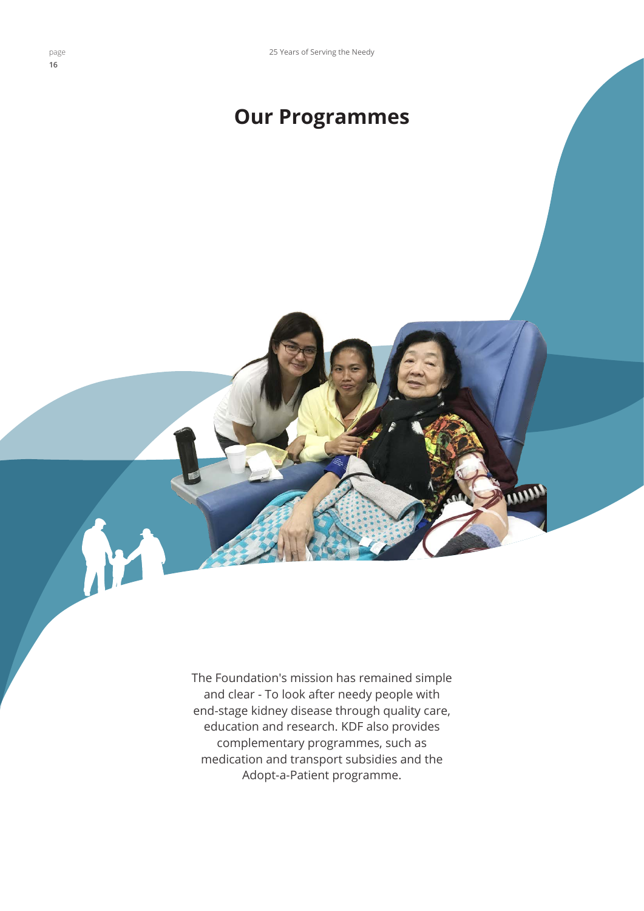# **Our Programmes**

The Foundation's mission has remained simple and clear - To look after needy people with end-stage kidney disease through quality care, education and research. KDF also provides complementary programmes, such as medication and transport subsidies and the Adopt-a-Patient programme.

im